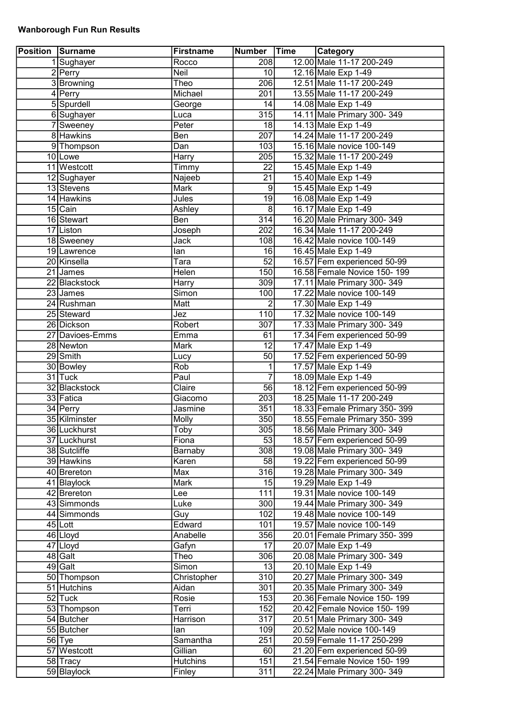## Wanborough Fun Run Results

| <b>Position Surname</b> |                         | <b>Firstname</b> | Number           | Time | <b>Category</b>              |
|-------------------------|-------------------------|------------------|------------------|------|------------------------------|
|                         | 1 Sughayer              | Rocco            | 208              |      | 12.00 Male 11-17 200-249     |
|                         | $\overline{2}$  Perry   | Neil             | 10 <sup>1</sup>  |      | 12.16 Male Exp 1-49          |
|                         | 3 Browning              | Theo             | 206              |      | 12.51 Male 11-17 200-249     |
|                         | 4 Perry                 | Michael          | 201              |      | 13.55 Male 11-17 200-249     |
|                         | 5 Spurdell              | George           | 14               |      | 14.08 Male Exp 1-49          |
|                         | 6Sughayer               | Luca             | 315              |      | 14.11 Male Primary 300-349   |
|                         | 7 Sweeney               | Peter            | 18               |      | 14.13 Male Exp 1-49          |
|                         | 8 Hawkins               | Ben              | $\overline{207}$ |      | 14.24 Male 11-17 200-249     |
|                         | 9 Thompson              | Dan              | 103              |      | 15.16 Male novice 100-149    |
|                         | 10 Lowe                 | <b>Harry</b>     | 205              |      | 15.32 Male 11-17 200-249     |
|                         | 11 Westcott             | Timmy            | $\overline{22}$  |      | 15.45 Male Exp 1-49          |
|                         | 12 Sughayer             | Najeeb           | 21               |      | 15.40 Male Exp 1-49          |
|                         | 13 Stevens              | Mark             | $\overline{9}$   |      | 15.45 Male Exp 1-49          |
|                         | 14 Hawkins              | Jules            | 19               |      | 16.08 Male Exp 1-49          |
|                         |                         |                  | $\overline{8}$   |      |                              |
|                         | 15 Cain                 | Ashley           | 314              |      | 16.17 Male Exp 1-49          |
|                         | 16 Stewart<br>17 Liston | Ben              |                  |      | 16.20 Male Primary 300-349   |
|                         |                         | Joseph           | $\overline{202}$ |      | 16.34 Male 11-17 200-249     |
|                         | 18 Sweeney              | Jack             | 108              |      | 16.42 Male novice 100-149    |
|                         | 19 Lawrence             | lan              | $\overline{16}$  |      | 16.45 Male Exp 1-49          |
|                         | 20 Kinsella             | Tara             | 52               |      | 16.57 Fem experienced 50-99  |
|                         | 21 James                | Helen            | 150              |      | 16.58 Female Novice 150-199  |
|                         | 22 Blackstock           | Harry            | 309              |      | 17.11 Male Primary 300-349   |
|                         | $23$ James              | Simon            | 100              |      | 17.22 Male novice 100-149    |
|                         | 24 Rushman              | Matt             | $\overline{2}$   |      | 17.30 Male Exp 1-49          |
|                         | 25 Steward              | Jez              | 110              |      | 17.32 Male novice 100-149    |
|                         | 26 Dickson              | Robert           | 307              |      | 17.33 Male Primary 300-349   |
|                         | 27 Davioes-Emms         | Emma             | 61               |      | 17.34 Fem experienced 50-99  |
|                         | 28 Newton               | Mark             | $\overline{12}$  |      | 17.47 Male Exp 1-49          |
|                         | 29 Smith                | Lucy             | $\overline{50}$  |      | 17.52 Fem experienced 50-99  |
|                         | 30 Bowley               | Rob              | 1                |      | 17.57 Male Exp 1-49          |
|                         | 31 Tuck                 | Paul             | 7                |      | 18.09 Male Exp 1-49          |
|                         | 32 Blackstock           | Claire           | $\overline{56}$  |      | 18.12 Fem experienced 50-99  |
|                         | 33 Fatica               | Giacomo          | $\overline{203}$ |      | 18.25 Male 11-17 200-249     |
|                         | $34$ Perry              | Jasmine          | 351              |      | 18.33 Female Primary 350-399 |
|                         | 35 Kilminster           | Molly            | 350              |      | 18.55 Female Primary 350-399 |
|                         | 36 Luckhurst            | Toby             | 305              |      | 18.56 Male Primary 300-349   |
|                         | 37 Luckhurst            | Fiona            | 53               |      | 18.57 Fem experienced 50-99  |
|                         | 38 Sutcliffe            | Barnaby          | $\overline{308}$ |      | 19.08 Male Primary 300-349   |
|                         | 39 Hawkins              | Karen            | 58               |      | 19.22 Fem experienced 50-99  |
|                         | 40 Brereton             | Max              | 316              |      | 19.28 Male Primary 300-349   |
|                         | 41 Blaylock             | Mark             | 15               |      | 19.29 Male Exp 1-49          |
|                         | 42 Brereton             |                  | 111              |      | 19.31 Male novice 100-149    |
|                         |                         | Lee              | $\overline{300}$ |      |                              |
|                         | 43 Simmonds             | Luke             |                  |      | 19.44 Male Primary 300-349   |
|                         | 44 Simmonds             | Guy              | 102              |      | 19.48 Male novice 100-149    |
|                         | $45$ Lott               | Edward           | 101              |      | 19.57 Male novice 100-149    |
|                         | 46 Lloyd                | Anabelle         | 356              |      | 20.01 Female Primary 350-399 |
|                         | 47 Lloyd                | Gafyn            | 17               |      | 20.07 Male Exp 1-49          |
|                         | 48 Galt                 | Theo             | 306              |      | 20.08 Male Primary 300-349   |
|                         | 49 Galt                 | Simon            | 13               |      | 20.10 Male Exp 1-49          |
|                         | 50 Thompson             | Christopher      | $\overline{310}$ |      | 20.27 Male Primary 300-349   |
|                         | 51 Hutchins             | Aidan            | 301              |      | 20.35 Male Primary 300-349   |
|                         | $52$ Tuck               | Rosie            | 153              |      | 20.36 Female Novice 150-199  |
|                         | 53 Thompson             | Terri            | 152              |      | 20.42 Female Novice 150-199  |
|                         | 54 Butcher              | Harrison         | 317              |      | 20.51 Male Primary 300-349   |
|                         | 55 Butcher              | lan              | 109              |      | 20.52 Male novice 100-149    |
|                         | $56$ Tye                | Samantha         | 251              |      | 20.59 Female 11-17 250-299   |
|                         | 57 Westcott             | Gillian          | 60               |      | 21.20 Fem experienced 50-99  |
|                         | 58 Tracy                | <b>Hutchins</b>  | 151              |      | 21.54 Female Novice 150-199  |
|                         | 59 Blaylock             | Finley           | 311              |      | 22.24 Male Primary 300-349   |